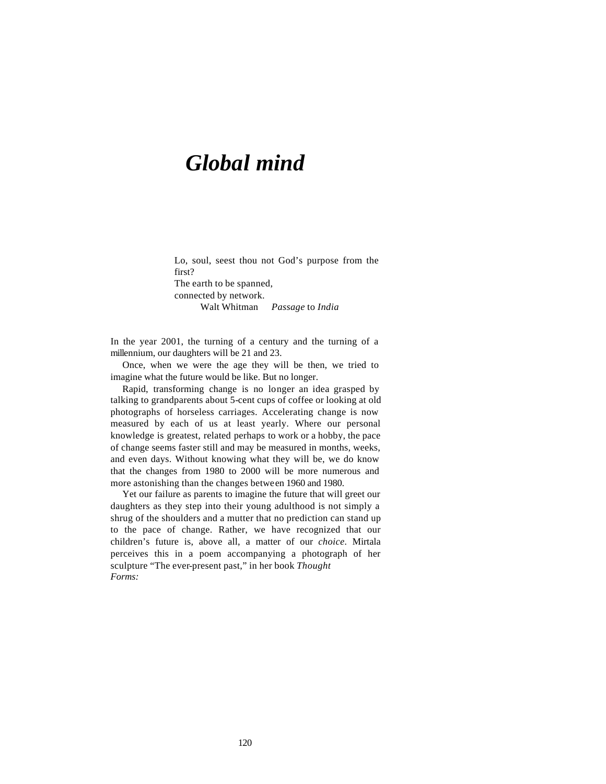## *Global mind*

Lo, soul, seest thou not God's purpose from the first? The earth to be spanned, connected by network. Walt Whitman *Passage* to *India*

In the year 2001, the turning of a century and the turning of a millennium, our daughters will be 21 and 23.

Once, when we were the age they will be then, we tried to imagine what the future would be like. But no longer.

Rapid, transforming change is no longer an idea grasped by talking to grandparents about 5-cent cups of coffee or looking at old photographs of horseless carriages. Accelerating change is now measured by each of us at least yearly. Where our personal knowledge is greatest, related perhaps to work or a hobby, the pace of change seems faster still and may be measured in months, weeks, and even days. Without knowing what they will be, we do know that the changes from 1980 to 2000 will be more numerous and more astonishing than the changes between 1960 and 1980.

Yet our failure as parents to imagine the future that will greet our daughters as they step into their young adulthood is not simply a shrug of the shoulders and a mutter that no prediction can stand up to the pace of change. Rather, we have recognized that our children's future is, above all, a matter of our *choice.* Mirtala perceives this in a poem accompanying a photograph of her sculpture "The ever-present past," in her book *Thought Forms:*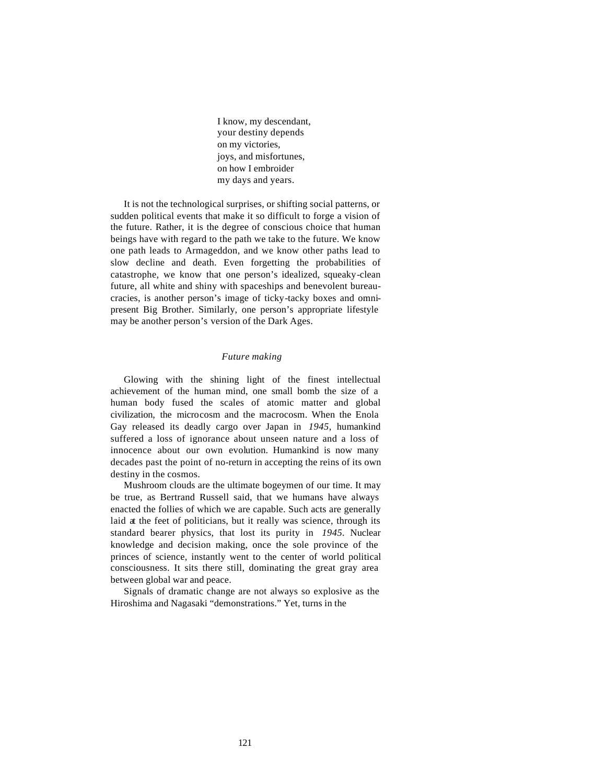I know, my descendant, your destiny depends on my victories, joys, and misfortunes, on how I embroider my days and years.

It is not the technological surprises, or shifting social patterns, or sudden political events that make it so difficult to forge a vision of the future. Rather, it is the degree of conscious choice that human beings have with regard to the path we take to the future. We know one path leads to Armageddon, and we know other paths lead to slow decline and death. Even forgetting the probabilities of catastrophe, we know that one person's idealized, squeaky-clean future, all white and shiny with spaceships and benevolent bureaucracies, is another person's image of ticky-tacky boxes and omnipresent Big Brother. Similarly, one person's appropriate lifestyle may be another person's version of the Dark Ages.

## *Future making*

Glowing with the shining light of the finest intellectual achievement of the human mind, one small bomb the size of a human body fused the scales of atomic matter and global civilization, the microcosm and the macrocosm. When the Enola Gay released its deadly cargo over Japan in *1945,* humankind suffered a loss of ignorance about unseen nature and a loss of innocence about our own evolution. Humankind is now many decades past the point of no-return in accepting the reins of its own destiny in the cosmos.

Mushroom clouds are the ultimate bogeymen of our time. It may be true, as Bertrand Russell said, that we humans have always enacted the follies of which we are capable. Such acts are generally laid at the feet of politicians, but it really was science, through its standard bearer physics, that lost its purity in *1945.* Nuclear knowledge and decision making, once the sole province of the princes of science, instantly went to the center of world political consciousness. It sits there still, dominating the great gray area between global war and peace.

Signals of dramatic change are not always so explosive as the Hiroshima and Nagasaki "demonstrations." Yet, turns in the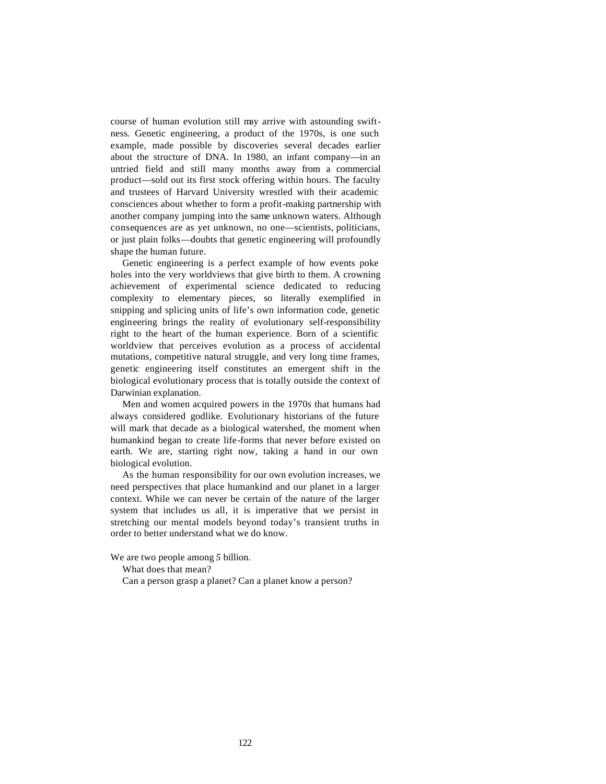course of human evolution still may arrive with astounding swiftness. Genetic engineering, a product of the 1970s, is one such example, made possible by discoveries several decades earlier about the structure of DNA. In 1980, an infant company—in an untried field and still many months away from a commercial product—sold out its first stock offering within hours. The faculty and trustees of Harvard University wrestled with their academic consciences about whether to form a profit-making partnership with another company jumping into the same unknown waters. Although consequences are as yet unknown, no one—scientists, politicians, or just plain folks—doubts that genetic engineering will profoundly shape the human future.

Genetic engineering is a perfect example of how events poke holes into the very worldviews that give birth to them. A crowning achievement of experimental science dedicated to reducing complexity to elementary pieces, so literally exemplified in snipping and splicing units of life's own information code, genetic engineering brings the reality of evolutionary self-responsibility right to the heart of the human experience. Born of a scientific worldview that perceives evolution as a process of accidental mutations, competitive natural struggle, and very long time frames, genetic engineering itself constitutes an emergent shift in the biological evolutionary process that is totally outside the context of Darwinian explanation.

Men and women acquired powers in the 1970s that humans had always considered godlike. Evolutionary historians of the future will mark that decade as a biological watershed, the moment when humankind began to create life-forms that never before existed on earth. We are, starting right now, taking a hand in our own biological evolution.

As the human responsibility for our own evolution increases, we need perspectives that place humankind and our planet in a larger context. While we can never be certain of the nature of the larger system that includes us all, it is imperative that we persist in stretching our mental models beyond today's transient truths in order to better understand what we do know.

We are two people among *5* billion.

What does that mean?

Can a person grasp a planet? Can a planet know a person?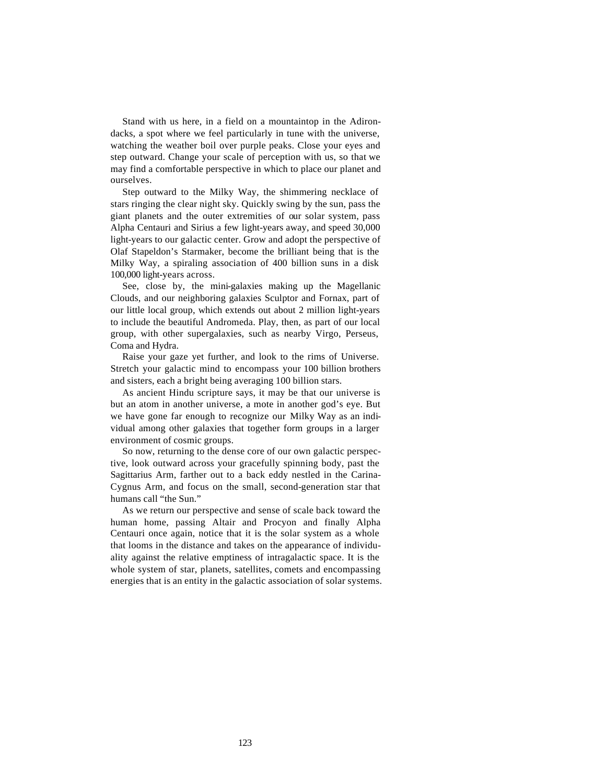Stand with us here, in a field on a mountaintop in the Adirondacks, a spot where we feel particularly in tune with the universe, watching the weather boil over purple peaks. Close your eyes and step outward. Change your scale of perception with us, so that we may find a comfortable perspective in which to place our planet and ourselves.

Step outward to the Milky Way, the shimmering necklace of stars ringing the clear night sky. Quickly swing by the sun, pass the giant planets and the outer extremities of our solar system, pass Alpha Centauri and Sirius a few light-years away, and speed 30,000 light-years to our galactic center. Grow and adopt the perspective of Olaf Stapeldon's Starmaker, become the brilliant being that is the Milky Way, a spiraling association of 400 billion suns in a disk 100,000 light-years across.

See, close by, the mini-galaxies making up the Magellanic Clouds, and our neighboring galaxies Sculptor and Fornax, part of our little local group, which extends out about 2 million light-years to include the beautiful Andromeda. Play, then, as part of our local group, with other supergalaxies, such as nearby Virgo, Perseus, Coma and Hydra.

Raise your gaze yet further, and look to the rims of Universe. Stretch your galactic mind to encompass your 100 billion brothers and sisters, each a bright being averaging 100 billion stars.

As ancient Hindu scripture says, it may be that our universe is but an atom in another universe, a mote in another god's eye. But we have gone far enough to recognize our Milky Way as an individual among other galaxies that together form groups in a larger environment of cosmic groups.

So now, returning to the dense core of our own galactic perspective, look outward across your gracefully spinning body, past the Sagittarius Arm, farther out to a back eddy nestled in the Carina-Cygnus Arm, and focus on the small, second-generation star that humans call "the Sun."

As we return our perspective and sense of scale back toward the human home, passing Altair and Procyon and finally Alpha Centauri once again, notice that it is the solar system as a whole that looms in the distance and takes on the appearance of individuality against the relative emptiness of intragalactic space. It is the whole system of star, planets, satellites, comets and encompassing energies that is an entity in the galactic association of solar systems.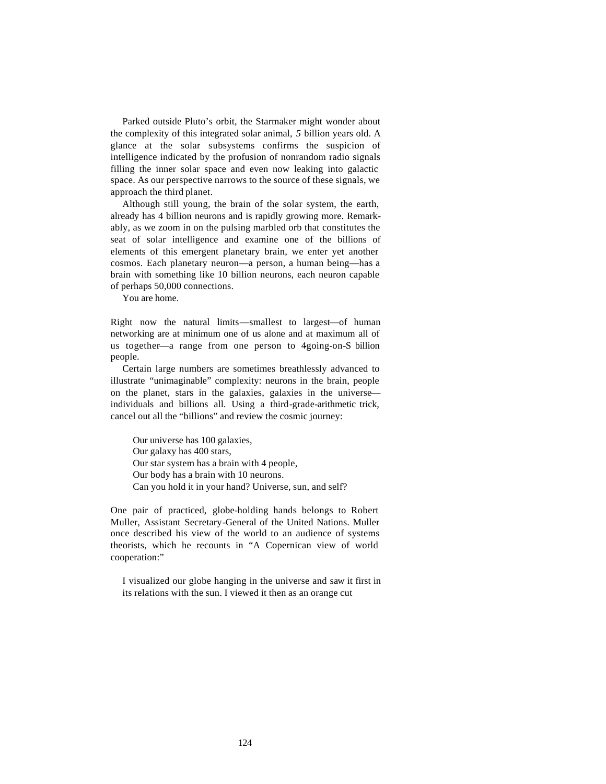Parked outside Pluto's orbit, the Starmaker might wonder about the complexity of this integrated solar animal, *5* billion years old. A glance at the solar subsystems confirms the suspicion of intelligence indicated by the profusion of nonrandom radio signals filling the inner solar space and even now leaking into galactic space. As our perspective narrows to the source of these signals, we approach the third planet.

Although still young, the brain of the solar system, the earth, already has 4 billion neurons and is rapidly growing more. Remarkably, as we zoom in on the pulsing marbled orb that constitutes the seat of solar intelligence and examine one of the billions of elements of this emergent planetary brain, we enter yet another cosmos. Each planetary neuron—a person, a human being—has a brain with something like 10 billion neurons, each neuron capable of perhaps 50,000 connections.

You are home.

Right now the natural limits—smallest to largest—of human networking are at minimum one of us alone and at maximum all of us together—a range from one person to 4going-on-S billion people.

Certain large numbers are sometimes breathlessly advanced to illustrate "unimaginable" complexity: neurons in the brain, people on the planet, stars in the galaxies, galaxies in the universe individuals and billions all. Using a third-grade-arithmetic trick, cancel out all the "billions" and review the cosmic journey:

Our universe has 100 galaxies, Our galaxy has 400 stars, Our star system has a brain with 4 people, Our body has a brain with 10 neurons. Can you hold it in your hand? Universe, sun, and self?

One pair of practiced, globe-holding hands belongs to Robert Muller, Assistant Secretary-General of the United Nations. Muller once described his view of the world to an audience of systems theorists, which he recounts in "A Copernican view of world cooperation:"

I visualized our globe hanging in the universe and saw it first in its relations with the sun. I viewed it then as an orange cut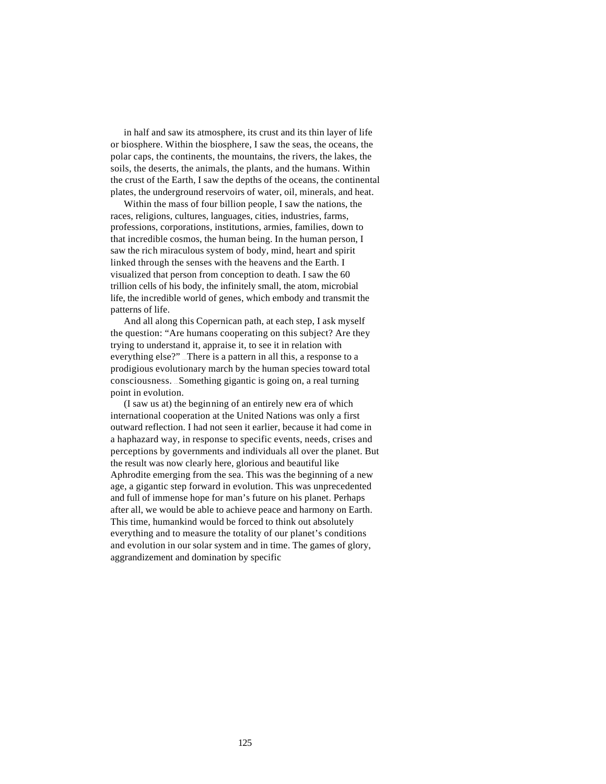in half and saw its atmosphere, its crust and its thin layer of life or biosphere. Within the biosphere, I saw the seas, the oceans, the polar caps, the continents, the mountains, the rivers, the lakes, the soils, the deserts, the animals, the plants, and the humans. Within the crust of the Earth, I saw the depths of the oceans, the continental plates, the underground reservoirs of water, oil, minerals, and heat.

Within the mass of four billion people, I saw the nations, the races, religions, cultures, languages, cities, industries, farms, professions, corporations, institutions, armies, families, down to that incredible cosmos, the human being. In the human person, I saw the rich miraculous system of body, mind, heart and spirit linked through the senses with the heavens and the Earth. I visualized that person from conception to death. I saw the 60 trillion cells of his body, the infinitely small, the atom, microbial life, the incredible world of genes, which embody and transmit the patterns of life.

And all along this Copernican path, at each step, I ask myself the question: "Are humans cooperating on this subject? Are they trying to understand it, appraise it, to see it in relation with everything else?" ... There is a pattern in all this, a response to a prodigious evolutionary march by the human species toward total consciousness. . . . Something gigantic is going on, a real turning point in evolution.

(I saw us at) the beginning of an entirely new era of which international cooperation at the United Nations was only a first outward reflection. I had not seen it earlier, because it had come in a haphazard way, in response to specific events, needs, crises and perceptions by governments and individuals all over the planet. But the result was now clearly here, glorious and beautiful like Aphrodite emerging from the sea. This was the beginning of a new age, a gigantic step forward in evolution. This was unprecedented and full of immense hope for man's future on his planet. Perhaps after all, we would be able to achieve peace and harmony on Earth. This time, humankind would be forced to think out absolutely everything and to measure the totality of our planet's conditions and evolution in our solar system and in time. The games of glory, aggrandizement and domination by specific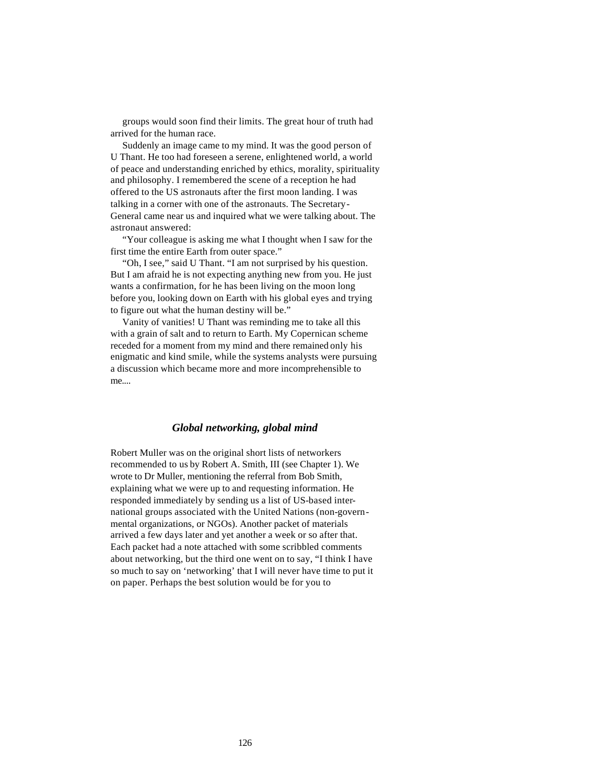groups would soon find their limits. The great hour of truth had arrived for the human race.

Suddenly an image came to my mind. It was the good person of U Thant. He too had foreseen a serene, enlightened world, a world of peace and understanding enriched by ethics, morality, spirituality and philosophy. I remembered the scene of a reception he had offered to the US astronauts after the first moon landing. I was talking in a corner with one of the astronauts. The Secretary-General came near us and inquired what we were talking about. The astronaut answered:

"Your colleague is asking me what I thought when I saw for the first time the entire Earth from outer space."

"Oh, I see," said U Thant. "I am not surprised by his question. But I am afraid he is not expecting anything new from you. He just wants a confirmation, for he has been living on the moon long before you, looking down on Earth with his global eyes and trying to figure out what the human destiny will be."

Vanity of vanities! U Thant was reminding me to take all this with a grain of salt and to return to Earth. My Copernican scheme receded for a moment from my mind and there remained only his enigmatic and kind smile, while the systems analysts were pursuing a discussion which became more and more incomprehensible to me....

## *Global networking, global mind*

Robert Muller was on the original short lists of networkers recommended to us by Robert A. Smith, III (see Chapter 1). We wrote to Dr Muller, mentioning the referral from Bob Smith, explaining what we were up to and requesting information. He responded immediately by sending us a list of US-based international groups associated with the United Nations (non-governmental organizations, or NGOs). Another packet of materials arrived a few days later and yet another a week or so after that. Each packet had a note attached with some scribbled comments about networking, but the third one went on to say, "I think I have so much to say on 'networking' that I will never have time to put it on paper. Perhaps the best solution would be for you to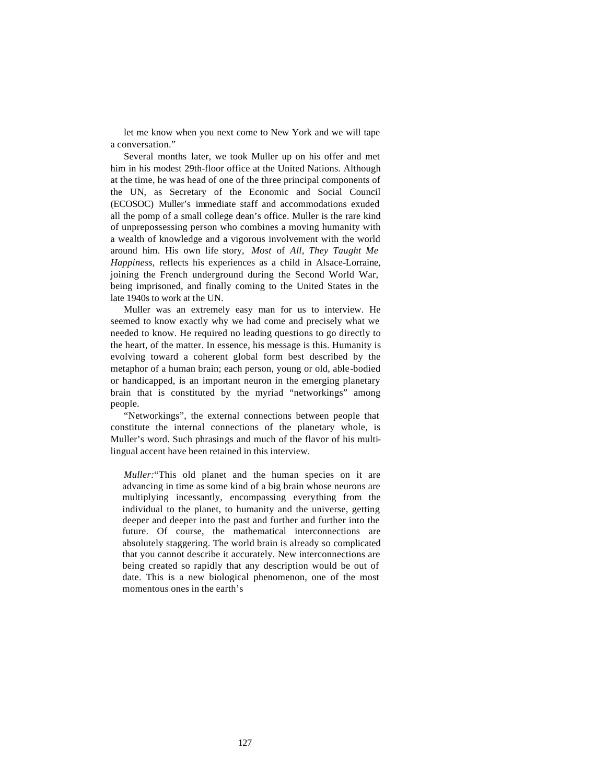let me know when you next come to New York and we will tape a conversation."

Several months later, we took Muller up on his offer and met him in his modest 29th-floor office at the United Nations. Although at the time, he was head of one of the three principal components of the UN, as Secretary of the Economic and Social Council (ECOSOC) Muller's immediate staff and accommodations exuded all the pomp of a small college dean's office. Muller is the rare kind of unprepossessing person who combines a moving humanity with a wealth of knowledge and a vigorous involvement with the world around him. His own life story, *Most* of *All, They Taught Me Happiness,* reflects his experiences as a child in Alsace-Lorraine, joining the French underground during the Second World War, being imprisoned, and finally coming to the United States in the late 1940s to work at the UN.

Muller was an extremely easy man for us to interview. He seemed to know exactly why we had come and precisely what we needed to know. He required no leading questions to go directly to the heart, of the matter. In essence, his message is this. Humanity is evolving toward a coherent global form best described by the metaphor of a human brain; each person, young or old, able-bodied or handicapped, is an important neuron in the emerging planetary brain that is constituted by the myriad "networkings" among people.

"Networkings", the external connections between people that constitute the internal connections of the planetary whole, is Muller's word. Such phrasings and much of the flavor of his multilingual accent have been retained in this interview.

*Muller:*"This old planet and the human species on it are advancing in time as some kind of a big brain whose neurons are multiplying incessantly, encompassing everything from the individual to the planet, to humanity and the universe, getting deeper and deeper into the past and further and further into the future. Of course, the mathematical interconnections are absolutely staggering. The world brain is already so complicated that you cannot describe it accurately. New interconnections are being created so rapidly that any description would be out of date. This is a new biological phenomenon, one of the most momentous ones in the earth's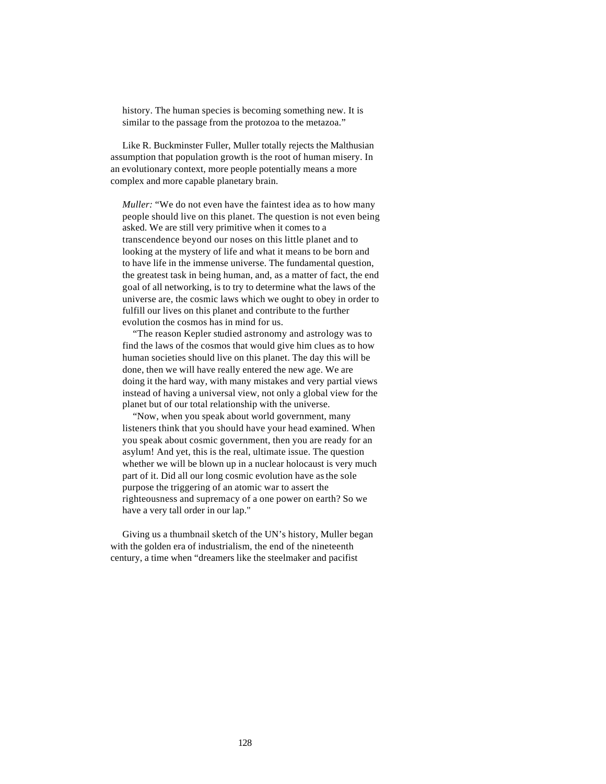history. The human species is becoming something new. It is similar to the passage from the protozoa to the metazoa."

Like R. Buckminster Fuller, Muller totally rejects the Malthusian assumption that population growth is the root of human misery. In an evolutionary context, more people potentially means a more complex and more capable planetary brain.

*Muller:* "We do not even have the faintest idea as to how many people should live on this planet. The question is not even being asked. We are still very primitive when it comes to a transcendence beyond our noses on this little planet and to looking at the mystery of life and what it means to be born and to have life in the immense universe. The fundamental question, the greatest task in being human, and, as a matter of fact, the end goal of all networking, is to try to determine what the laws of the universe are, the cosmic laws which we ought to obey in order to fulfill our lives on this planet and contribute to the further evolution the cosmos has in mind for us.

"The reason Kepler studied astronomy and astrology was to find the laws of the cosmos that would give him clues as to how human societies should live on this planet. The day this will be done, then we will have really entered the new age. We are doing it the hard way, with many mistakes and very partial views instead of having a universal view, not only a global view for the planet but of our total relationship with the universe.

"Now, when you speak about world government, many listeners think that you should have your head examined. When you speak about cosmic government, then you are ready for an asylum! And yet, this is the real, ultimate issue. The question whether we will be blown up in a nuclear holocaust is very much part of it. Did all our long cosmic evolution have as the sole purpose the triggering of an atomic war to assert the righteousness and supremacy of a one power on earth? So we have a very tall order in our lap."

Giving us a thumbnail sketch of the UN's history, Muller began with the golden era of industrialism, the end of the nineteenth century, a time when "dreamers like the steelmaker and pacifist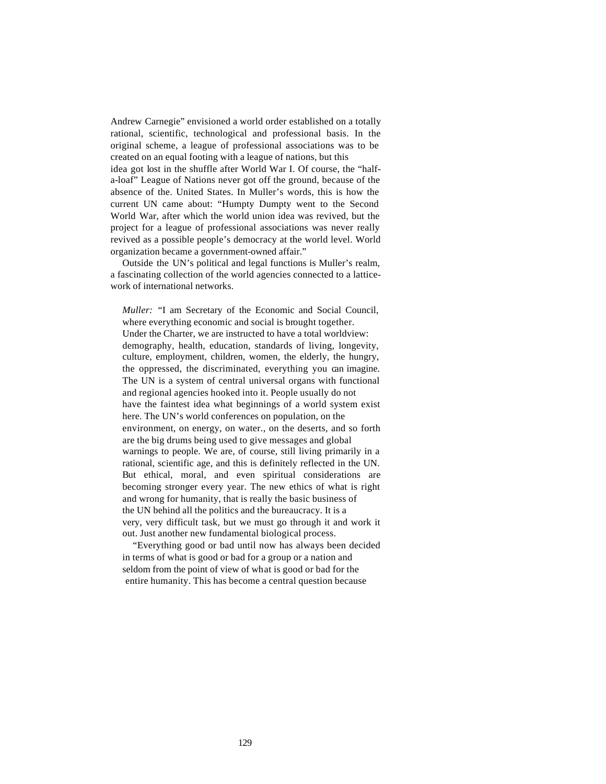Andrew Carnegie" envisioned a world order established on a totally rational, scientific, technological and professional basis. In the original scheme, a league of professional associations was to be created on an equal footing with a league of nations, but this

idea got lost in the shuffle after World War I. Of course, the "halfa-loaf" League of Nations never got off the ground, because of the absence of the. United States. In Muller's words, this is how the current UN came about: "Humpty Dumpty went to the Second World War, after which the world union idea was revived, but the project for a league of professional associations was never really revived as a possible people's democracy at the world level. World organization became a government-owned affair."

Outside the UN's political and legal functions is Muller's realm, a fascinating collection of the world agencies connected to a latticework of international networks.

*Muller:* "I am Secretary of the Economic and Social Council, where everything economic and social is brought together. Under the Charter, we are instructed to have a total worldview: demography, health, education, standards of living, longevity, culture, employment, children, women, the elderly, the hungry, the oppressed, the discriminated, everything you can imagine. The UN is a system of central universal organs with functional and regional agencies hooked into it. People usually do not have the faintest idea what beginnings of a world system exist here. The UN's world conferences on population, on the environment, on energy, on water., on the deserts, and so forth are the big drums being used to give messages and global warnings to people. We are, of course, still living primarily in a rational, scientific age, and this is definitely reflected in the UN. But ethical, moral, and even spiritual considerations are becoming stronger every year. The new ethics of what is right and wrong for humanity, that is really the basic business of the UN behind all the politics and the bureaucracy. It is a very, very difficult task, but we must go through it and work it out. Just another new fundamental biological process.

"Everything good or bad until now has always been decided in terms of what is good or bad for a group or a nation and seldom from the point of view of what is good or bad for the entire humanity. This has become a central question because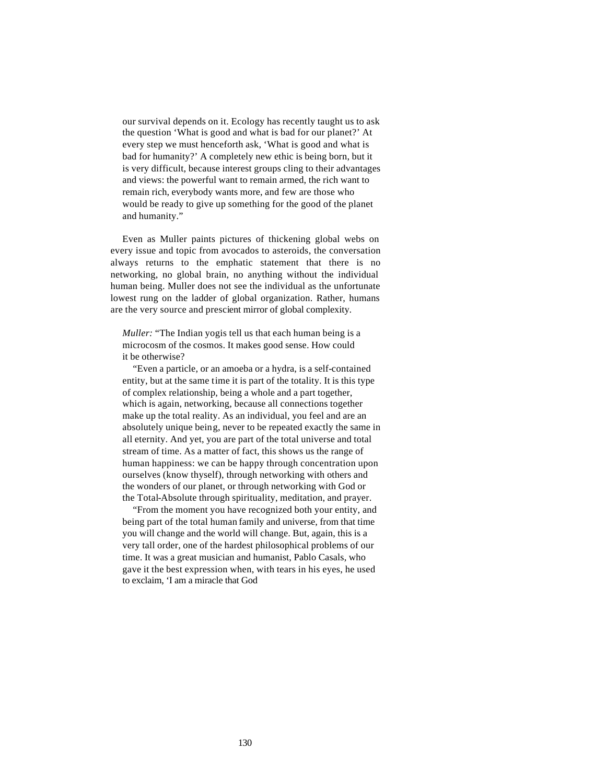our survival depends on it. Ecology has recently taught us to ask the question 'What is good and what is bad for our planet?' At every step we must henceforth ask, 'What is good and what is bad for humanity?' A completely new ethic is being born, but it is very difficult, because interest groups cling to their advantages and views: the powerful want to remain armed, the rich want to remain rich, everybody wants more, and few are those who would be ready to give up something for the good of the planet and humanity."

Even as Muller paints pictures of thickening global webs on every issue and topic from avocados to asteroids, the conversation always returns to the emphatic statement that there is no networking, no global brain, no anything without the individual human being. Muller does not see the individual as the unfortunate lowest rung on the ladder of global organization. Rather, humans are the very source and prescient mirror of global complexity.

*Muller:* "The Indian yogis tell us that each human being is a microcosm of the cosmos. It makes good sense. How could it be otherwise?

"Even a particle, or an amoeba or a hydra, is a self-contained entity, but at the same time it is part of the totality. It is this type of complex relationship, being a whole and a part together, which is again, networking, because all connections together make up the total reality. As an individual, you feel and are an absolutely unique being, never to be repeated exactly the same in all eternity. And yet, you are part of the total universe and total stream of time. As a matter of fact, this shows us the range of human happiness: we can be happy through concentration upon ourselves (know thyself), through networking with others and the wonders of our planet, or through networking with God or the Total-Absolute through spirituality, meditation, and prayer.

"From the moment you have recognized both your entity, and being part of the total human family and universe, from that time you will change and the world will change. But, again, this is a very tall order, one of the hardest philosophical problems of our time. It was a great musician and humanist, Pablo Casals, who gave it the best expression when, with tears in his eyes, he used to exclaim, 'I am a miracle that God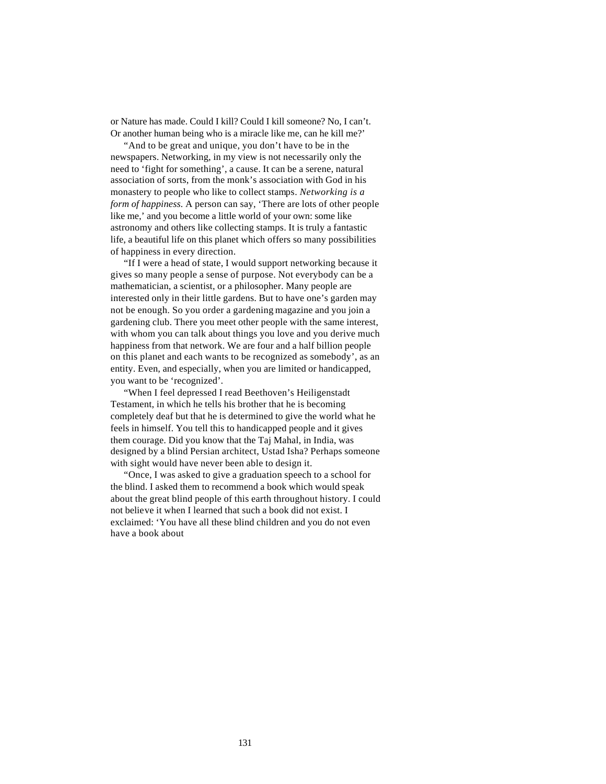or Nature has made. Could I kill? Could I kill someone? No, I can't. Or another human being who is a miracle like me, can he kill me?'

"And to be great and unique, you don't have to be in the newspapers. Networking, in my view is not necessarily only the need to 'fight for something', a cause. It can be a serene, natural association of sorts, from the monk's association with God in his monastery to people who like to collect stamps. *Networking is a form of happiness.* A person can say, 'There are lots of other people like me,' and you become a little world of your own: some like astronomy and others like collecting stamps. It is truly a fantastic life, a beautiful life on this planet which offers so many possibilities of happiness in every direction.

"If I were a head of state, I would support networking because it gives so many people a sense of purpose. Not everybody can be a mathematician, a scientist, or a philosopher. Many people are interested only in their little gardens. But to have one's garden may not be enough. So you order a gardening magazine and you join a gardening club. There you meet other people with the same interest, with whom you can talk about things you love and you derive much happiness from that network. We are four and a half billion people on this planet and each wants to be recognized as somebody', as an entity. Even, and especially, when you are limited or handicapped, you want to be 'recognized'.

"When I feel depressed I read Beethoven's Heiligenstadt Testament, in which he tells his brother that he is becoming completely deaf but that he is determined to give the world what he feels in himself. You tell this to handicapped people and it gives them courage. Did you know that the Taj Mahal, in India, was designed by a blind Persian architect, Ustad Isha? Perhaps someone with sight would have never been able to design it.

"Once, I was asked to give a graduation speech to a school for the blind. I asked them to recommend a book which would speak about the great blind people of this earth throughout history. I could not believe it when I learned that such a book did not exist. I exclaimed: 'You have all these blind children and you do not even have a book about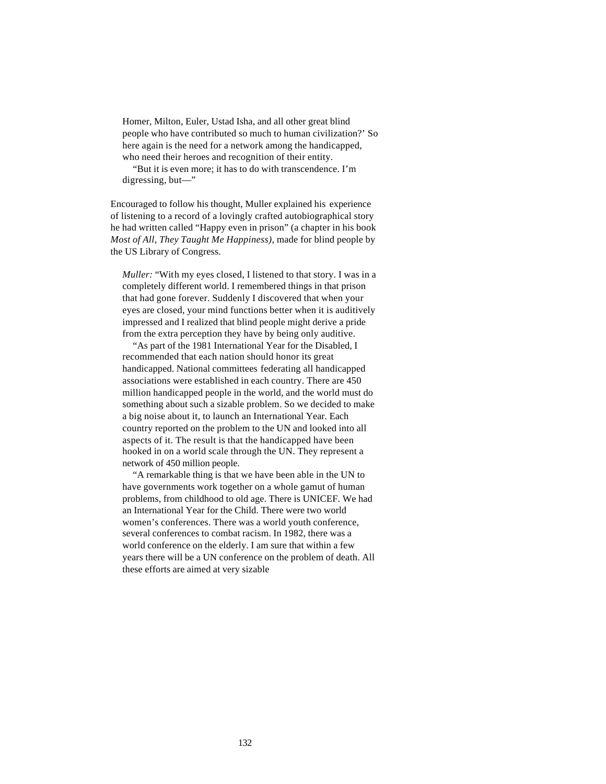Homer, Milton, Euler, Ustad Isha, and all other great blind people who have contributed so much to human civilization?' So here again is the need for a network among the handicapped, who need their heroes and recognition of their entity.

"But it is even more; it has to do with transcendence. I'm digressing, but—"

Encouraged to follow his thought, Muller explained his experience of listening to a record of a lovingly crafted autobiographical story he had written called "Happy even in prison" (a chapter in his book *Most of All, They Taught Me Happiness),* made for blind people by the US Library of Congress.

*Muller:* "With my eyes closed, I listened to that story. I was in a completely different world. I remembered things in that prison that had gone forever. Suddenly I discovered that when your eyes are closed, your mind functions better when it is auditively impressed and I realized that blind people might derive a pride from the extra perception they have by being only auditive.

"As part of the 1981 International Year for the Disabled, I recommended that each nation should honor its great handicapped. National committees federating all handicapped associations were established in each country. There are 450 million handicapped people in the world, and the world must do something about such a sizable problem. So we decided to make a big noise about it, to launch an International Year. Each country reported on the problem to the UN and looked into all aspects of it. The result is that the handicapped have been hooked in on a world scale through the UN. They represent a network of 450 million people.

"A remarkable thing is that we have been able in the UN to have governments work together on a whole gamut of human problems, from childhood to old age. There is UNICEF. We had an International Year for the Child. There were two world women's conferences. There was a world youth conference, several conferences to combat racism. In 1982, there was a world conference on the elderly. I am sure that within a few years there will be a UN conference on the problem of death. All these efforts are aimed at very sizable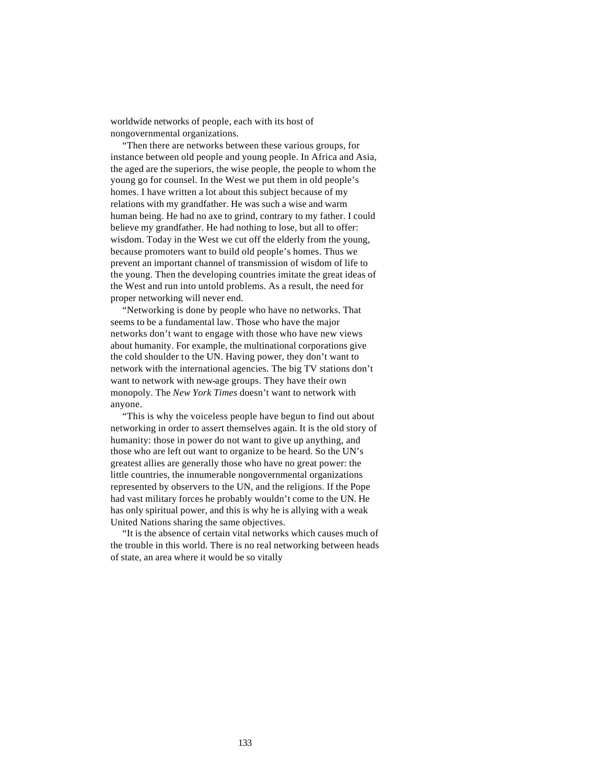worldwide networks of people, each with its host of nongovernmental organizations.

"Then there are networks between these various groups, for instance between old people and young people. In Africa and Asia, the aged are the superiors, the wise people, the people to whom the young go for counsel. In the West we put them in old people's homes. I have written a lot about this subject because of my relations with my grandfather. He was such a wise and warm human being. He had no axe to grind, contrary to my father. I could believe my grandfather. He had nothing to lose, but all to offer: wisdom. Today in the West we cut off the elderly from the young, because promoters want to build old people's homes. Thus we prevent an important channel of transmission of wisdom of life to the young. Then the developing countries imitate the great ideas of the West and run into untold problems. As a result, the need for proper networking will never end.

"Networking is done by people who have no networks. That seems to be a fundamental law. Those who have the major networks don't want to engage with those who have new views about humanity. For example, the multinational corporations give the cold shoulder to the UN. Having power, they don't want to network with the international agencies. The big TV stations don't want to network with new-age groups. They have their own monopoly. The *New York Times* doesn't want to network with anyone.

"This is why the voiceless people have begun to find out about networking in order to assert themselves again. It is the old story of humanity: those in power do not want to give up anything, and those who are left out want to organize to be heard. So the UN's greatest allies are generally those who have no great power: the little countries, the innumerable nongovernmental organizations represented by observers to the UN, and the religions. If the Pope had vast military forces he probably wouldn't come to the UN. He has only spiritual power, and this is why he is allying with a weak United Nations sharing the same objectives.

"It is the absence of certain vital networks which causes much of the trouble in this world. There is no real networking between heads of state, an area where it would be so vitally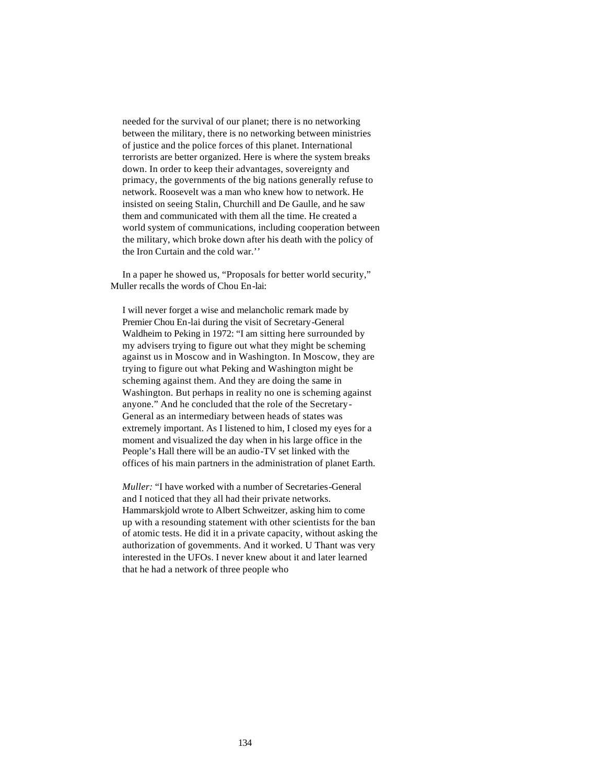needed for the survival of our planet; there is no networking between the military, there is no networking between ministries of justice and the police forces of this planet. International terrorists are better organized. Here is where the system breaks down. In order to keep their advantages, sovereignty and primacy, the governments of the big nations generally refuse to network. Roosevelt was a man who knew how to network. He insisted on seeing Stalin, Churchill and De Gaulle, and he saw them and communicated with them all the time. He created a world system of communications, including cooperation between the military, which broke down after his death with the policy of the Iron Curtain and the cold war.''

In a paper he showed us, "Proposals for better world security," Muller recalls the words of Chou En-lai:

I will never forget a wise and melancholic remark made by Premier Chou En-lai during the visit of Secretary-General Waldheim to Peking in 1972: "I am sitting here surrounded by my advisers trying to figure out what they might be scheming against us in Moscow and in Washington. In Moscow, they are trying to figure out what Peking and Washington might be scheming against them. And they are doing the same in Washington. But perhaps in reality no one is scheming against anyone." And he concluded that the role of the Secretary-General as an intermediary between heads of states was extremely important. As I listened to him, I closed my eyes for a moment and visualized the day when in his large office in the People's Hall there will be an audio-TV set linked with the offices of his main partners in the administration of planet Earth.

*Muller:* "I have worked with a number of Secretaries-General and I noticed that they all had their private networks. Hammarskjold wrote to Albert Schweitzer, asking him to come up with a resounding statement with other scientists for the ban of atomic tests. He did it in a private capacity, without asking the authorization of governments. And it worked. U Thant was very interested in the UFOs. I never knew about it and later learned that he had a network of three people who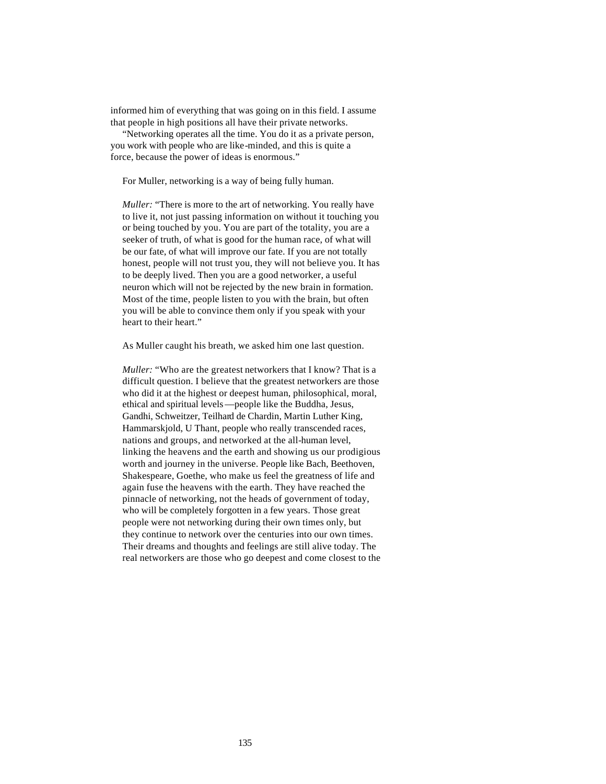informed him of everything that was going on in this field. I assume that people in high positions all have their private networks.

"Networking operates all the time. You do it as a private person, you work with people who are like-minded, and this is quite a force, because the power of ideas is enormous."

For Muller, networking is a way of being fully human.

*Muller:* "There is more to the art of networking. You really have to live it, not just passing information on without it touching you or being touched by you. You are part of the totality, you are a seeker of truth, of what is good for the human race, of what will be our fate, of what will improve our fate. If you are not totally honest, people will not trust you, they will not believe you. It has to be deeply lived. Then you are a good networker, a useful neuron which will not be rejected by the new brain in formation. Most of the time, people listen to you with the brain, but often you will be able to convince them only if you speak with your heart to their heart."

As Muller caught his breath, we asked him one last question.

*Muller:* "Who are the greatest networkers that I know? That is a difficult question. I believe that the greatest networkers are those who did it at the highest or deepest human, philosophical, moral, ethical and spiritual levels—people like the Buddha, Jesus, Gandhi, Schweitzer, Teilhard de Chardin, Martin Luther King, Hammarskjold, U Thant, people who really transcended races, nations and groups, and networked at the all-human level, linking the heavens and the earth and showing us our prodigious worth and journey in the universe. People like Bach, Beethoven, Shakespeare, Goethe, who make us feel the greatness of life and again fuse the heavens with the earth. They have reached the pinnacle of networking, not the heads of government of today, who will be completely forgotten in a few years. Those great people were not networking during their own times only, but they continue to network over the centuries into our own times. Their dreams and thoughts and feelings are still alive today. The real networkers are those who go deepest and come closest to the